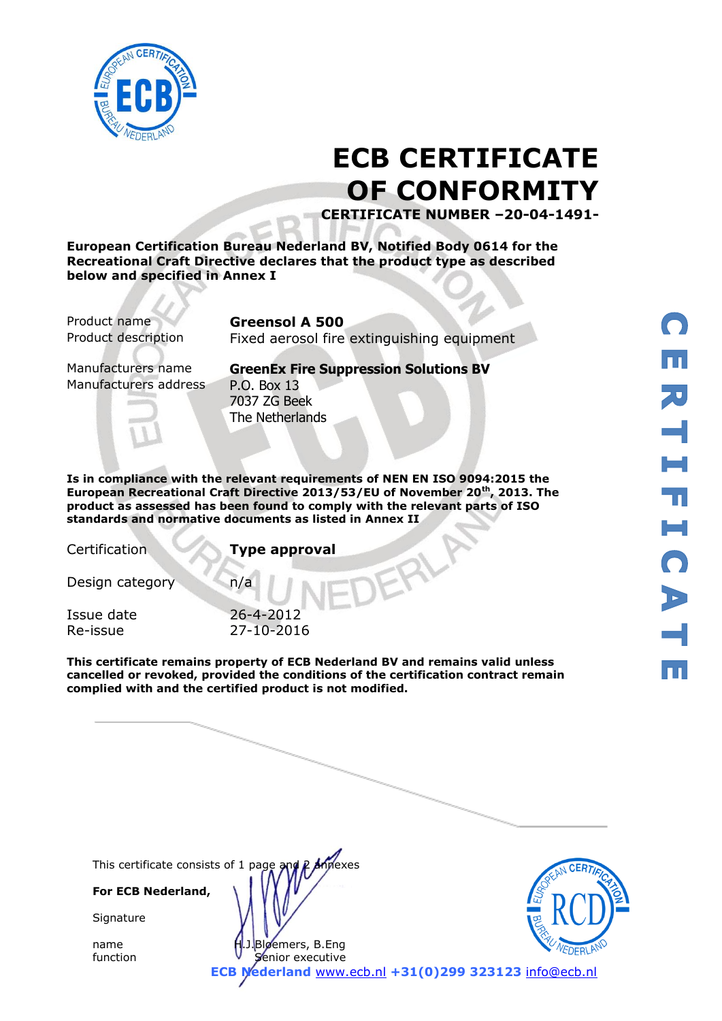

# **ECB CERTIFICATE OF CONFORMITY**

**CERTIFICATE NUMBER –20-04-1491-**

**European Certification Bureau Nederland BV, Notified Body 0614 for the Recreational Craft Directive declares that the product type as described below and specified in Annex I**

Product name **Greensol A 500**

Product description Fixed aerosol fire extinguishing equipment

Manufacturers address P.O. Box 13

Manufacturers name **GreenEx Fire Suppression Solutions BV** 7037 ZG Beek The Netherlands

**Is in compliance with the relevant requirements of NEN EN ISO 9094:2015 the European Recreational Craft Directive 2013/53/EU of November 20th, 2013. The product as assessed has been found to comply with the relevant parts of ISO standards and normative documents as listed in Annex II** 

Certification **Type approval**

Design category n/a

Issue date 26-4-2012 Re-issue 27-10-2016

**This certificate remains property of ECB Nederland BV and remains valid unless cancelled or revoked, provided the conditions of the certification contract remain complied with and the certified product is not modified.** 

**ECB Nederland** [www.ecb.nl](http://www.ecb.nl/) **+31(0)299 323123** [info@ecb.nl](mailto:info@ecb.nl)

This certificate consists of 1 page and P Annexes

**For ECB Nederland,**

**Signature** 

name H.J.Bloemers, B.Eng function **V** Senior executive